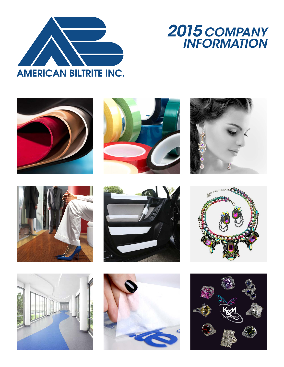

# *2015 COMPANY INFORMATION*

















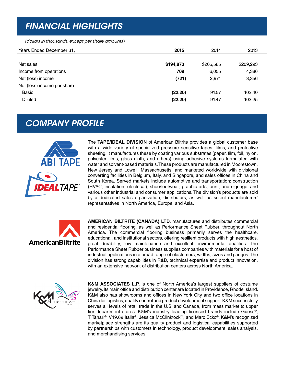### *FINANCIAL HIGHLIGHTS*

*(dollars in thousands, except per share amounts)*

| Years Ended December 31,    | 2015      | 2014      | 2013      |
|-----------------------------|-----------|-----------|-----------|
|                             |           |           |           |
| Net sales                   | \$194,873 | \$205,585 | \$209,293 |
| Income from operations      | 709       | 6,055     | 4,386     |
| Net (loss) income           | (721)     | 2,974     | 3,356     |
| Net (loss) income per share |           |           |           |
| <b>Basic</b>                | (22.20)   | 91.57     | 102.40    |
| <b>Diluted</b>              | (22.20)   | 91.47     | 102.25    |
|                             |           |           |           |

### *COMPANY PROFILE*



The **TAPE/IDEAL DIVISION** of American Biltrite provides a global customer base with a wide variety of specialized pressure sensitive tapes, films, and protective sheeting. It manufactures these by coating various substrates (paper, film, foil, nylon, polyester films, glass cloth, and others) using adhesive systems formulated with water and solvent-based materials. These products are manufactured in Moorestown, New Jersey and Lowell, Massachusetts, and marketed worldwide with divisional converting facilities in Belgium, Italy, and Singapore, and sales offices in China and South Korea. Served markets include automotive and transportation; construction (HVAC, insulation, electrical); shoe/footwear; graphic arts, print, and signage; and various other industrial and consumer applications. The division's products are sold by a dedicated sales organization, distributors, as well as select manufacturers' representatives in North America, Europe, and Asia.



**AMERICAN BILTRITE (CANADA) LTD.** manufactures and distributes commercial and residential flooring, as well as Performance Sheet Rubber, throughout North America. The commercial flooring business primarily serves the healthcare, educational, and institutional sectors, offering resilient products with high aesthetics, great durability, low maintenance and excellent environmental qualities. The Performance Sheet Rubber business supplies companies with materials for a host of industrial applications in a broad range of elastomers, widths, sizes and gauges. The division has strong capabilities in R&D, technical expertise and product innovation, with an extensive network of distribution centers across North America.



**K&M ASSOCIATES L.P.** is one of North America's largest suppliers of costume jewelry. Its main office and distribution center are located in Providence, Rhode Island. K&M also has showrooms and offices in New York City and two office locations in China for logistics, quality control and product development support. K&M successfully serves all levels of retail trade in the U.S. and Canada, from mass market to upper tier department stores. K&M's industry leading licensed brands include Guess®, T Tahari®, V19.69 Italia®, Jessica McClinktock™, and Marc Ecko®. K&M's recognized marketplace strengths are its quality product and logistical capabilities supported by partnerships with customers in technology, product development, sales analysis, and merchandising services.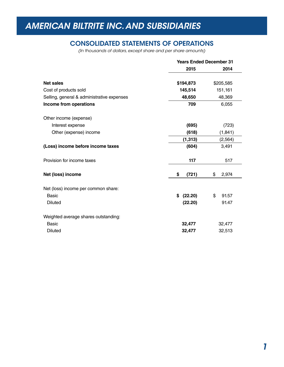#### CONSOLIDATED STATEMENTS OF OPERATIONS

*(In thousands of dollars, except share and per share amounts)*

|                                            | <b>Years Ended December 31</b> |             |
|--------------------------------------------|--------------------------------|-------------|
|                                            | 2015                           | 2014        |
| <b>Net sales</b>                           | \$194,873                      | \$205,585   |
| Cost of products sold                      | 145,514                        | 151,161     |
| Selling, general & administrative expenses | 48,650                         | 48,369      |
| Income from operations                     | 709                            | 6,055       |
| Other income (expense)                     |                                |             |
| Interest expense                           | (695)                          | (723)       |
| Other (expense) income                     | (618)                          | (1, 841)    |
|                                            | (1, 313)                       | (2, 564)    |
| (Loss) income before income taxes          | (604)                          | 3,491       |
| Provision for income taxes                 | 117                            | 517         |
| Net (loss) income                          | \$<br>(721)                    | \$<br>2,974 |
| Net (loss) income per common share:        |                                |             |
| Basic                                      | (22.20)<br>\$                  | 91.57<br>\$ |
| <b>Diluted</b>                             | (22.20)                        | 91.47       |
| Weighted average shares outstanding:       |                                |             |
| <b>Basic</b>                               | 32,477                         | 32,477      |
| <b>Diluted</b>                             | 32,477                         | 32,513      |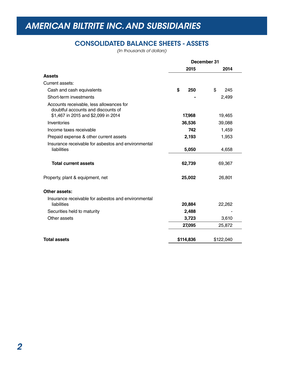#### CONSOLIDATED BALANCE SHEETS - ASSETS

*(In thousands of dollars)*

|                                                                                                                       | December 31 |           |
|-----------------------------------------------------------------------------------------------------------------------|-------------|-----------|
|                                                                                                                       | 2015        | 2014      |
| <b>Assets</b>                                                                                                         |             |           |
| Current assets:                                                                                                       |             |           |
| Cash and cash equivalents                                                                                             | \$<br>250   | \$<br>245 |
| Short-term investments                                                                                                |             | 2,499     |
| Accounts receivable, less allowances for<br>doubtful accounts and discounts of<br>\$1,467 in 2015 and \$2,099 in 2014 | 17,968      | 19,465    |
| Inventories                                                                                                           | 36,536      | 39,088    |
| Income taxes receivable                                                                                               | 742         | 1,459     |
| Prepaid expense & other current assets                                                                                | 2,193       | 1,953     |
| Insurance receivable for asbestos and environmental<br>liabilities                                                    | 5,050       | 4,658     |
| <b>Total current assets</b>                                                                                           | 62,739      | 69,367    |
| Property, plant & equipment, net                                                                                      | 25,002      | 26,801    |
| Other assets:                                                                                                         |             |           |
| Insurance receivable for asbestos and environmental<br>liabilities                                                    | 20,884      | 22,262    |
| Securities held to maturity                                                                                           | 2,488       |           |
| Other assets                                                                                                          | 3,723       | 3,610     |
|                                                                                                                       | 27,095      | 25,872    |
| <b>Total assets</b>                                                                                                   | \$114,836   | \$122,040 |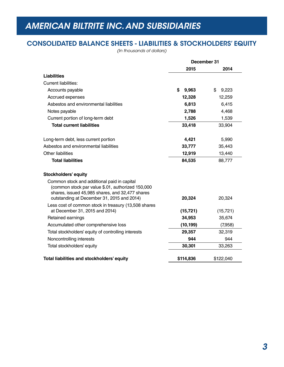#### CONSOLIDATED BALANCE SHEETS - LIABILITIES & STOCKHOLDERS' EQUITY

*(In thousands of dollars)*

|                                                                                                                                                                                                   | December 31 |             |
|---------------------------------------------------------------------------------------------------------------------------------------------------------------------------------------------------|-------------|-------------|
|                                                                                                                                                                                                   | 2015        | 2014        |
| <b>Liabilities</b>                                                                                                                                                                                |             |             |
| <b>Current liabilities:</b>                                                                                                                                                                       |             |             |
| Accounts payable                                                                                                                                                                                  | \$<br>9,963 | \$<br>9,223 |
| Accrued expenses                                                                                                                                                                                  | 12,328      | 12,259      |
| Asbestos and environmental liabilities                                                                                                                                                            | 6,813       | 6,415       |
| Notes payable                                                                                                                                                                                     | 2,788       | 4,468       |
| Current portion of long-term debt                                                                                                                                                                 | 1,526       | 1,539       |
| <b>Total current liabilities</b>                                                                                                                                                                  | 33,418      | 33,904      |
| Long-term debt, less current portion                                                                                                                                                              | 4,421       | 5,990       |
| Asbestos and environmental liabilities                                                                                                                                                            | 33,777      | 35,443      |
| <b>Other liabilities</b>                                                                                                                                                                          | 12,919      | 13,440      |
| <b>Total liabilities</b>                                                                                                                                                                          | 84,535      | 88,777      |
| <b>Stockholders' equity</b>                                                                                                                                                                       |             |             |
| Common stock and additional paid in capital<br>(common stock par value \$.01, authorized 150,000<br>shares, issued 45,985 shares, and 32,477 shares<br>outstanding at December 31, 2015 and 2014) | 20,324      | 20,324      |
| Less cost of common stock in treasury (13,508 shares<br>at December 31, 2015 and 2014)                                                                                                            | (15, 721)   | (15, 721)   |
| Retained earnings                                                                                                                                                                                 | 34,953      | 35,674      |
| Accumulated other comprehensive loss                                                                                                                                                              | (10, 199)   | (7,958)     |
| Total stockholders' equity of controlling interests                                                                                                                                               | 29,357      | 32,319      |
| Noncontrolling interests                                                                                                                                                                          | 944         | 944         |
|                                                                                                                                                                                                   | 30,301      | 33,263      |
| Total stockholders' equity                                                                                                                                                                        |             |             |
| Total liabilities and stockholders' equity                                                                                                                                                        | \$114,836   | \$122,040   |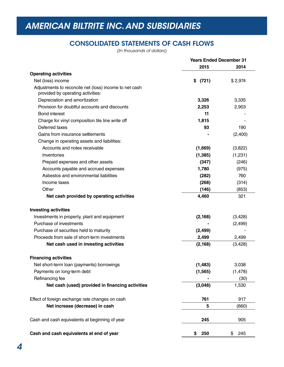#### CONSOLIDATED STATEMENTS OF CASH FLOWS

*(In thousands of dollars)*

|                                                                                             | <b>Years Ended December 31</b> |           |
|---------------------------------------------------------------------------------------------|--------------------------------|-----------|
|                                                                                             | 2015                           | 2014      |
| <b>Operating activities</b>                                                                 |                                |           |
| Net (loss) income                                                                           | (721)<br>\$                    | \$2,974   |
| Adjustments to reconcile net (loss) income to net cash<br>provided by operating activities: |                                |           |
| Depreciation and amortization                                                               | 3,326                          | 3,335     |
| Provision for doubtful accounts and discounts                                               | 2,253                          | 2,903     |
| <b>Bond interest</b>                                                                        | 11                             |           |
| Charge for vinyl composition tile line write off                                            | 1,815                          |           |
| Deferred taxes                                                                              | 93                             | 190       |
| Gains from insurance settlements                                                            |                                | (2,400)   |
| Change in operating assets and liabilities:                                                 |                                |           |
| Accounts and notes receivable                                                               | (1,669)                        | (3,822)   |
| Inventories                                                                                 | (1, 385)                       | (1,231)   |
| Prepaid expenses and other assets                                                           | (347)                          | (246)     |
| Accounts payable and accrued expenses                                                       | 1,780                          | (975)     |
| Asbestos and environmental liabilities                                                      | (282)                          | 760       |
| Income taxes                                                                                | (268)                          | (314)     |
| Other                                                                                       | (146)                          | (853)     |
| Net cash provided by operating activities                                                   | 4,460                          | 321       |
| <b>Investing activities</b>                                                                 |                                |           |
| Investments in property, plant and equipment                                                | (2, 168)                       | (3,428)   |
| Purchase of investments                                                                     |                                | (2, 499)  |
| Purchase of securities held to maturity                                                     | (2, 499)                       |           |
| Proceeds from sale of short-term investments                                                | 2,499                          | 2,499     |
| Net cash used in investing activities                                                       | (2, 168)                       | (3, 428)  |
| <b>Financing activities</b>                                                                 |                                |           |
| Net short-term loan (payments) borrowings                                                   | (1, 483)                       | 3,038     |
| Payments on long-term debt                                                                  | (1, 565)                       | (1, 478)  |
| Refinancing fee                                                                             |                                | (30)      |
| Net cash (used) provided in financing activities                                            | (3,048)                        | 1,530     |
| Effect of foreign exchange rate changes on cash                                             | 761                            | 917       |
| Net increase (decrease) in cash                                                             | 5                              | (660)     |
| Cash and cash equivalents at beginning of year                                              | 245                            | 905       |
| Cash and cash equivalents at end of year                                                    | 250<br>\$                      | \$<br>245 |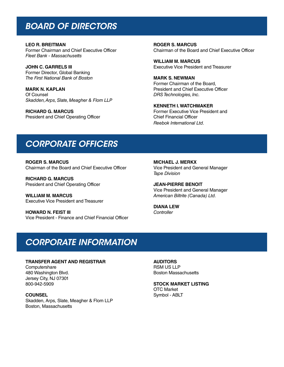### *BOARD OF DIRECTORS*

**LEO R. BREITMAN**  Former Chairman and Chief Executive Officer *Fleet Bank - Massachusetts*

**JOHN C. GARRELS III** Former Director, Global Banking *The First National Bank of Boston*

**MARK N. KAPLAN** Of Counsel *Skadden, Arps, Slate, Meagher & Flom LLP*

**RICHARD G. MARCUS** President and Chief Operating Officer **ROGER S. MARCUS** Chairman of the Board and Chief Executive Officer

**WILLIAM M. MARCUS** Executive Vice President and Treasurer

**MARK S. NEWMAN** Former Chairman of the Board, President and Chief Executive Officer *DRS Technologies, Inc.*

**KENNETH I. WATCHMAKER** Former Executive Vice President and Chief Financial Officer *Reebok International Ltd.*

### *CORPORATE OFFICERS*

**ROGER S. MARCUS** Chairman of the Board and Chief Executive Officer

**RICHARD G. MARCUS** President and Chief Operating Officer

**WILLIAM M. MARCUS** Executive Vice President and Treasurer

**HOWARD N. FEIST III** Vice President - Finance and Chief Financial Officer **MICHAEL J. MERKX** Vice President and General Manager *Tape Division*

**JEAN-PIERRE BENOIT**  Vice President and General Manager *American Biltrite (Canada) Ltd.*

**DIANA LEW** *Controller*

### *CORPORATE INFORMATION*

#### **TRANSFER AGENT AND REGISTRAR**

**Computershare** 480 Washington Blvd. Jersey City, NJ 07301 800-942-5909

**COUNSEL** Skadden, Arps, Slate, Meagher & Flom LLP Boston, Massachusetts

**AUDITORS** RSM US LLP Boston Massachusetts

**STOCK MARKET LISTING** OTC Market Symbol - ABLT